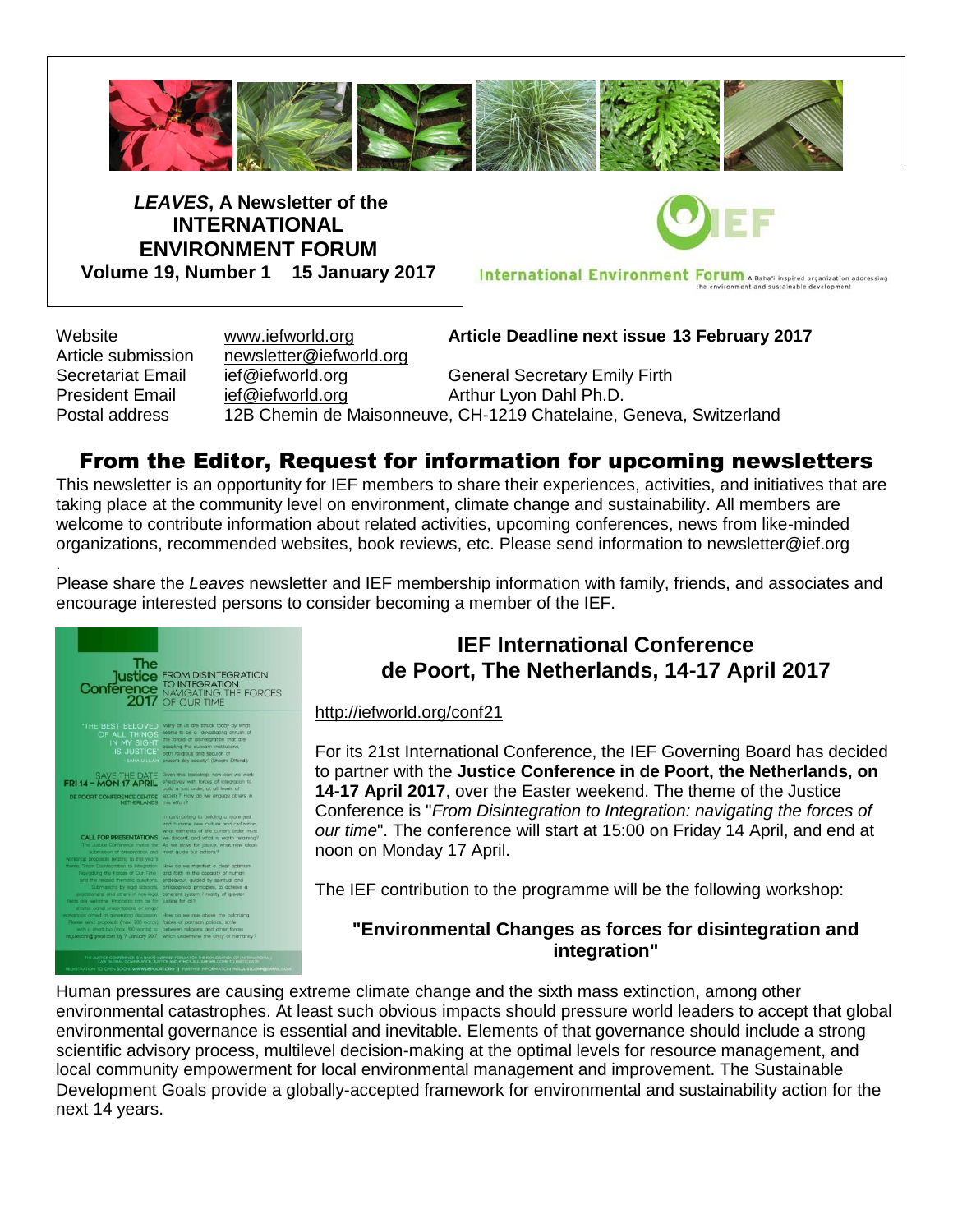

*LEAVES***, A Newsletter of the INTERNATIONAL ENVIRONMENT FORUM Volume 19, Number 1 15 January 2017**

International Environment Forum A Baha'i inspired organization addressing

Website [www.iefworld.org](http://www.iefworld.org/) **Article Deadline next issue 13 February 2017** Article submission [newsletter@iefworld.org](mailto:newsletter@iefworld.org) Secretariat Email [ief@iefworld.org](mailto:ief@iefworld.org) General Secretary Emily Firth President Email [ief@iefworld.org](mailto:ief@iefworld.org) in Arthur Lyon Dahl Ph.D. Postal address 12B Chemin de Maisonneuve, CH-1219 Chatelaine, Geneva, Switzerland

# From the Editor, Request for information for upcoming newsletters

This newsletter is an opportunity for IEF members to share their experiences, activities, and initiatives that are taking place at the community level on environment, climate change and sustainability. All members are welcome to contribute information about related activities, upcoming conferences, news from like-minded organizations, recommended websites, book reviews, etc. Please send information to [newsletter@ief.org](mailto:newsletter@ief.org)

. Please share the *Leaves* newsletter and IEF membership information with family, friends, and associates and encourage interested persons to consider becoming a member of the IEF.



# **IEF International Conference de Poort, The Netherlands, 14-17 April 2017**

<http://iefworld.org/conf21>

For its 21st International Conference, the IEF Governing Board has decided to partner with the **Justice Conference in de Poort, the Netherlands, on 14-17 April 2017**, over the Easter weekend. The theme of the Justice Conference is "*From Disintegration to Integration: navigating the forces of our time*". The conference will start at 15:00 on Friday 14 April, and end at noon on Monday 17 April.

The IEF contribution to the programme will be the following workshop:

## **"Environmental Changes as forces for disintegration and integration"**

Human pressures are causing extreme climate change and the sixth mass extinction, among other environmental catastrophes. At least such obvious impacts should pressure world leaders to accept that global environmental governance is essential and inevitable. Elements of that governance should include a strong scientific advisory process, multilevel decision-making at the optimal levels for resource management, and local community empowerment for local environmental management and improvement. The Sustainable Development Goals provide a globally-accepted framework for environmental and sustainability action for the next 14 years.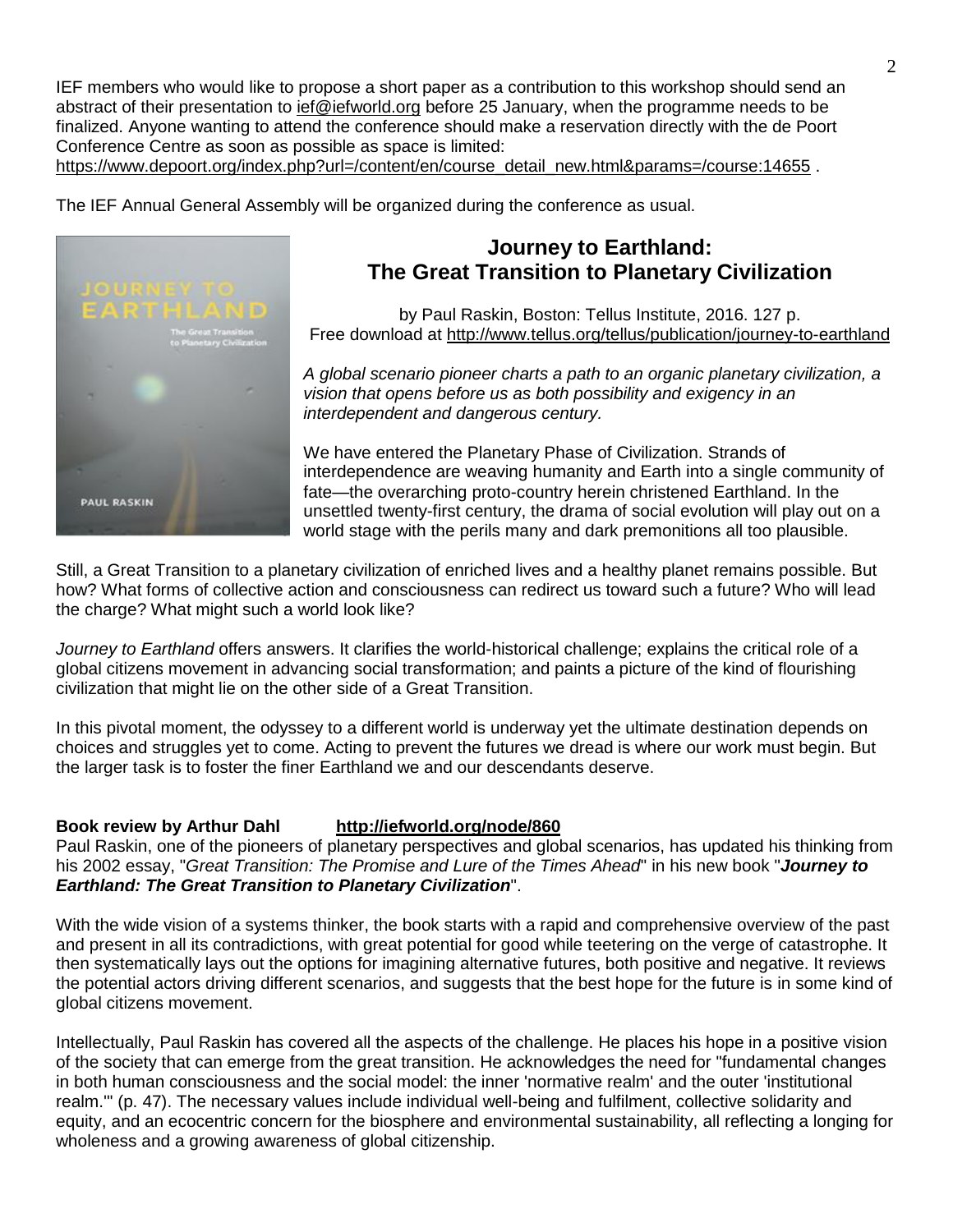IEF members who would like to propose a short paper as a contribution to this workshop should send an abstract of their presentation to [ief@iefworld.org](mailto:ief@iefworld.org) before 25 January, when the programme needs to be finalized. Anyone wanting to attend the conference should make a reservation directly with the de Poort Conference Centre as soon as possible as space is limited:

[https://www.depoort.org/index.php?url=/content/en/course\\_detail\\_new.html&params=/course:14655](https://www.depoort.org/index.php?url=/content/en/course_detail_new.html¶ms=/course:14655).

The IEF Annual General Assembly will be organized during the conference as usual.



# **Journey to Earthland: The Great Transition to Planetary Civilization**

by Paul Raskin, Boston: Tellus Institute, 2016. 127 p. Free download at <http://www.tellus.org/tellus/publication/journey-to-earthland>

*A global scenario pioneer charts a path to an organic planetary civilization, a vision that opens before us as both possibility and exigency in an interdependent and dangerous century.*

We have entered the Planetary Phase of Civilization. Strands of interdependence are weaving humanity and Earth into a single community of fate—the overarching proto-country herein christened Earthland. In the unsettled twenty-first century, the drama of social evolution will play out on a world stage with the perils many and dark premonitions all too plausible.

Still, a Great Transition to a planetary civilization of enriched lives and a healthy planet remains possible. But how? What forms of collective action and consciousness can redirect us toward such a future? Who will lead the charge? What might such a world look like?

*Journey to Earthland* offers answers. It clarifies the world-historical challenge; explains the critical role of a global citizens movement in advancing social transformation; and paints a picture of the kind of flourishing civilization that might lie on the other side of a Great Transition.

In this pivotal moment, the odyssey to a different world is underway yet the ultimate destination depends on choices and struggles yet to come. Acting to prevent the futures we dread is where our work must begin. But the larger task is to foster the finer Earthland we and our descendants deserve.

## **Book review by Arthur Dahl <http://iefworld.org/node/860>**

Paul Raskin, one of the pioneers of planetary perspectives and global scenarios, has updated his thinking from his 2002 essay, "*Great Transition: The Promise and Lure of the Times Ahead*" in his new book "*Journey to Earthland: The Great Transition to Planetary Civilization*".

With the wide vision of a systems thinker, the book starts with a rapid and comprehensive overview of the past and present in all its contradictions, with great potential for good while teetering on the verge of catastrophe. It then systematically lays out the options for imagining alternative futures, both positive and negative. It reviews the potential actors driving different scenarios, and suggests that the best hope for the future is in some kind of global citizens movement.

Intellectually, Paul Raskin has covered all the aspects of the challenge. He places his hope in a positive vision of the society that can emerge from the great transition. He acknowledges the need for "fundamental changes in both human consciousness and the social model: the inner 'normative realm' and the outer 'institutional realm.'" (p. 47). The necessary values include individual well-being and fulfilment, collective solidarity and equity, and an ecocentric concern for the biosphere and environmental sustainability, all reflecting a longing for wholeness and a growing awareness of global citizenship.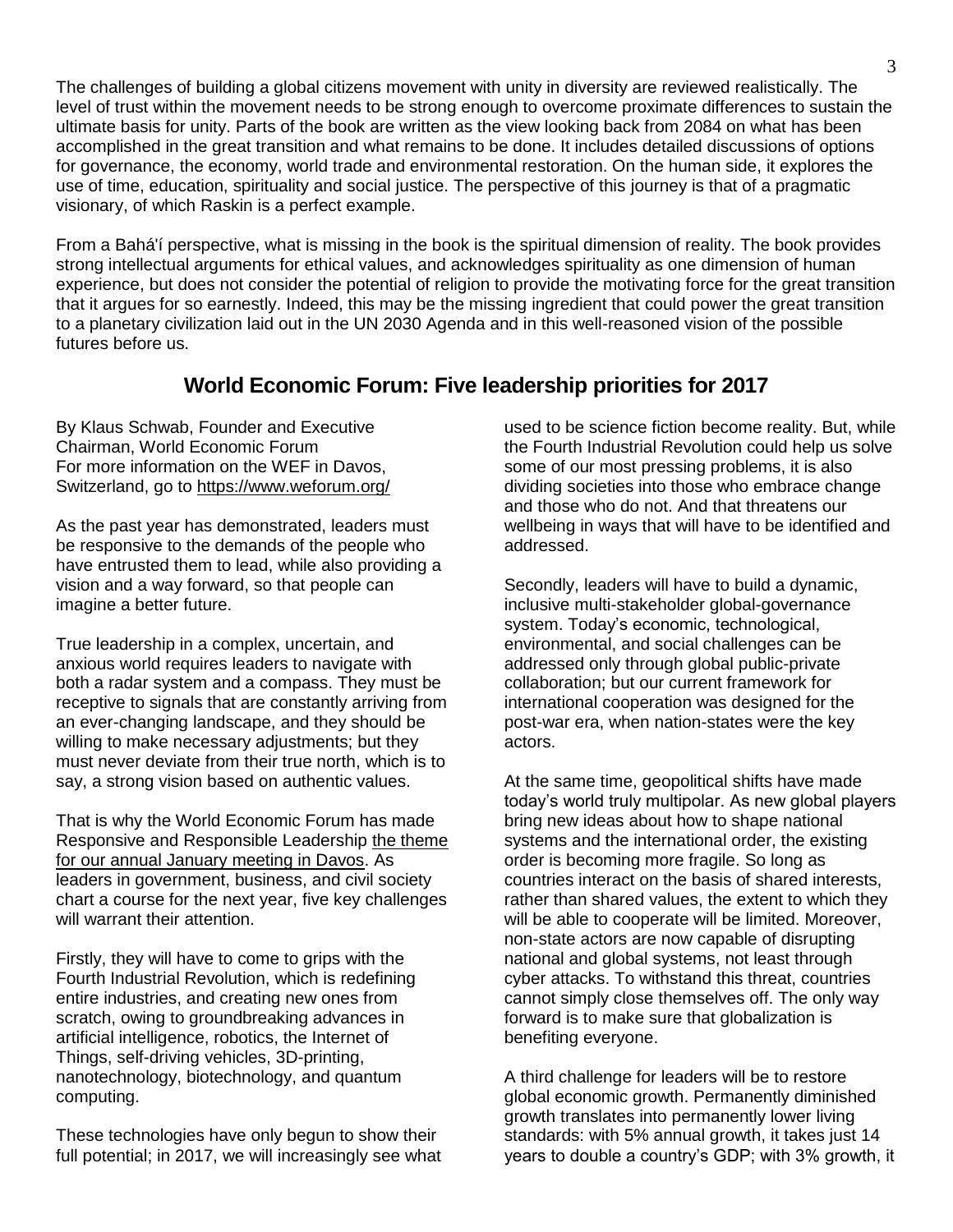The challenges of building a global citizens movement with unity in diversity are reviewed realistically. The level of trust within the movement needs to be strong enough to overcome proximate differences to sustain the ultimate basis for unity. Parts of the book are written as the view looking back from 2084 on what has been accomplished in the great transition and what remains to be done. It includes detailed discussions of options for governance, the economy, world trade and environmental restoration. On the human side, it explores the use of time, education, spirituality and social justice. The perspective of this journey is that of a pragmatic visionary, of which Raskin is a perfect example.

From a Bahá'í perspective, what is missing in the book is the spiritual dimension of reality. The book provides strong intellectual arguments for ethical values, and acknowledges spirituality as one dimension of human experience, but does not consider the potential of religion to provide the motivating force for the great transition that it argues for so earnestly. Indeed, this may be the missing ingredient that could power the great transition to a planetary civilization laid out in the UN 2030 Agenda and in this well-reasoned vision of the possible futures before us.

# **World Economic Forum: Five leadership priorities for 2017**

By [Klaus Schwab,](https://www.weforum.org/agenda/authors/klaus-schwab) Founder and Executive Chairman, World Economic Forum For more information on the WEF in Davos, Switzerland, go to <https://www.weforum.org/>

As the past year has demonstrated, leaders must be responsive to the demands of the people who have entrusted them to lead, while also providing a vision and a way forward, so that people can imagine a better future.

True leadership in a complex, uncertain, and anxious world requires leaders to navigate with both a radar system and a compass. They must be receptive to signals that are constantly arriving from an ever-changing landscape, and they should be willing to make necessary adjustments; but they must never deviate from their true north, which is to say, a strong vision based on authentic values.

That is why the World Economic Forum has made Responsive and Responsible Leadership [the theme](https://www.weforum.org/events/world-economic-forum-annual-meeting-2017)  for our annual [January meeting in Davos.](https://www.weforum.org/events/world-economic-forum-annual-meeting-2017) As leaders in government, business, and civil society chart a course for the next year, five key challenges will warrant their attention.

Firstly, they will have to come to grips with the Fourth Industrial Revolution, which is redefining entire industries, and creating new ones from scratch, owing to groundbreaking advances in artificial intelligence, robotics, the Internet of Things, self-driving vehicles, 3D-printing, nanotechnology, biotechnology, and quantum computing.

These technologies have only begun to show their full potential; in 2017, we will increasingly see what used to be science fiction become reality. But, while the Fourth Industrial Revolution could help us solve some of our most pressing problems, it is also dividing societies into those who embrace change and those who do not. And that threatens our wellbeing in ways that will have to be identified and addressed.

Secondly, leaders will have to build a dynamic, inclusive multi-stakeholder global-governance system. Today's economic, technological, environmental, and social challenges can be addressed only through global public-private collaboration; but our current framework for international cooperation was designed for the post-war era, when nation-states were the key actors.

At the same time, geopolitical shifts have made today's world truly multipolar. As new global players bring new ideas about how to shape national systems and the international order, the existing order is becoming more fragile. So long as countries interact on the basis of shared interests, rather than shared values, the extent to which they will be able to cooperate will be limited. Moreover, non-state actors are now capable of disrupting national and global systems, not least through cyber attacks. To withstand this threat, countries cannot simply close themselves off. The only way forward is to make sure that globalization is benefiting everyone.

A third challenge for leaders will be to restore global economic growth. Permanently diminished growth translates into permanently lower living standards: with 5% annual growth, it takes just 14 years to double a country's GDP; with 3% growth, it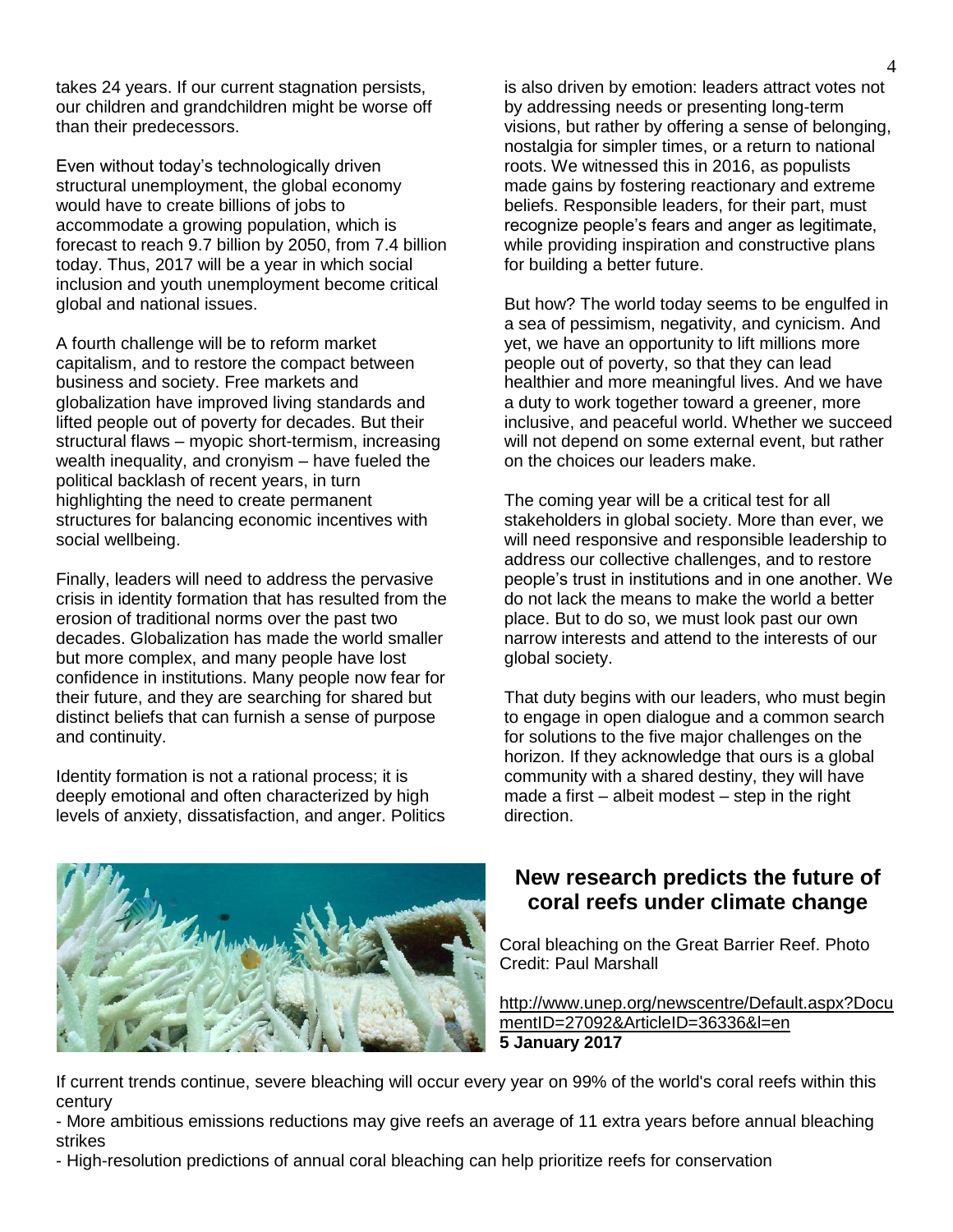takes 24 years. If our current stagnation persists, our children and grandchildren might be worse off than their predecessors.

Even without today's technologically driven structural unemployment, the global economy would have to create billions of jobs to accommodate a growing population, which is forecast to reach 9.7 billion by 2050, from 7.4 billion today. Thus, 2017 will be a year in which social inclusion and youth unemployment become critical global and national issues.

A fourth challenge will be to reform market capitalism, and to restore the compact between business and society. Free markets and globalization have improved living standards and lifted people out of poverty for decades. But their structural flaws – myopic short-termism, increasing wealth inequality, and cronyism – have fueled the political backlash of recent years, in turn highlighting the need to create permanent structures for balancing economic incentives with social wellbeing.

Finally, leaders will need to address the pervasive crisis in identity formation that has resulted from the erosion of traditional norms over the past two decades. Globalization has made the world smaller but more complex, and many people have lost confidence in institutions. Many people now fear for their future, and they are searching for shared but distinct beliefs that can furnish a sense of purpose and continuity.

Identity formation is not a rational process; it is deeply emotional and often characterized by high levels of anxiety, dissatisfaction, and anger. Politics is also driven by emotion: leaders attract votes not by addressing needs or presenting long-term visions, but rather by offering a sense of belonging, nostalgia for simpler times, or a return to national roots. We witnessed this in 2016, as populists made gains by fostering reactionary and extreme beliefs. Responsible leaders, for their part, must recognize people's fears and anger as legitimate, while providing inspiration and constructive plans for building a better future.

But how? The world today seems to be engulfed in a sea of pessimism, negativity, and cynicism. And yet, we have an opportunity to lift millions more people out of poverty, so that they can lead healthier and more meaningful lives. And we have a duty to work together toward a greener, more inclusive, and peaceful world. Whether we succeed will not depend on some external event, but rather on the choices our leaders make.

The coming year will be a critical test for all stakeholders in global society. More than ever, we will need responsive and responsible leadership to address our collective challenges, and to restore people's trust in institutions and in one another. We do not lack the means to make the world a better place. But to do so, we must look past our own narrow interests and attend to the interests of our global society.

That duty begins with our leaders, who must begin to engage in open dialogue and a common search for solutions to the five major challenges on the horizon. If they acknowledge that ours is a global community with a shared destiny, they will have made a first – albeit modest – step in the right direction.



# **New research predicts the future of coral reefs under climate change**

Coral bleaching on the Great Barrier Reef. Photo Credit: Paul Marshall

[http://www.unep.org/newscentre/Default.aspx?Docu](http://www.unep.org/newscentre/Default.aspx?DocumentID=27092&ArticleID=36336&l=en) [mentID=27092&ArticleID=36336&l=en](http://www.unep.org/newscentre/Default.aspx?DocumentID=27092&ArticleID=36336&l=en) **5 January 2017**

If current trends continue, severe bleaching will occur every year on 99% of the world's coral reefs within this century

- More ambitious emissions reductions may give reefs an average of 11 extra years before annual bleaching strikes

- High-resolution predictions of annual coral bleaching can help prioritize reefs for conservation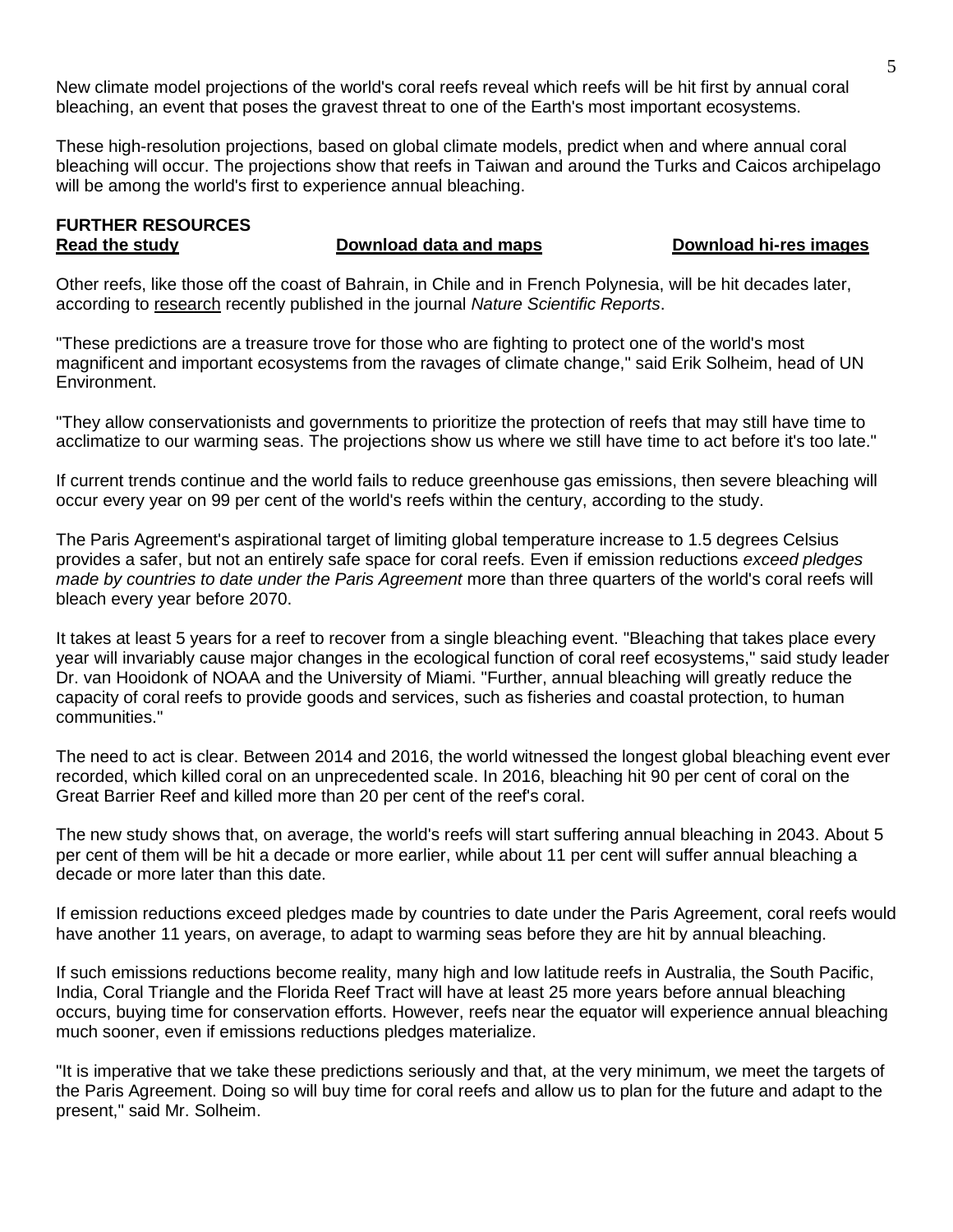New climate model projections of the world's coral reefs reveal which reefs will be hit first by annual coral bleaching, an event that poses the gravest threat to one of the Earth's most important ecosystems.

These high-resolution projections, based on global climate models, predict when and where annual coral bleaching will occur. The projections show that reefs in Taiwan and around the Turks and Caicos archipelago will be among the world's first to experience annual bleaching.

#### **FURTHER RESOURCES [Read the study](http://www.nature.com/articles/srep39666) [Download data and maps](http://www.uneplive.org/theme/index/19) [Download hi-res images](https://spaces.hightail.com/receive/VchU9)**

Other reefs, like those off the coast of Bahrain, in Chile and in French Polynesia, will be hit decades later, according to [research](http://www.nature.com/articles/srep39666) recently published in the journal *Nature Scientific Reports*.

"These predictions are a treasure trove for those who are fighting to protect one of the world's most magnificent and important ecosystems from the ravages of climate change," said Erik Solheim, head of UN Environment.

"They allow conservationists and governments to prioritize the protection of reefs that may still have time to acclimatize to our warming seas. The projections show us where we still have time to act before it's too late."

If current trends continue and the world fails to reduce greenhouse gas emissions, then severe bleaching will occur every year on 99 per cent of the world's reefs within the century, according to the study.

The Paris Agreement's aspirational target of limiting global temperature increase to 1.5 degrees Celsius provides a safer, but not an entirely safe space for coral reefs. Even if emission reductions *exceed pledges made by countries to date under the Paris Agreement* more than three quarters of the world's coral reefs will bleach every year before 2070.

It takes at least 5 years for a reef to recover from a single bleaching event. "Bleaching that takes place every year will invariably cause major changes in the ecological function of coral reef ecosystems," said study leader Dr. van Hooidonk of NOAA and the University of Miami. "Further, annual bleaching will greatly reduce the capacity of coral reefs to provide goods and services, such as fisheries and coastal protection, to human communities."

The need to act is clear. Between 2014 and 2016, the world witnessed the longest global bleaching event ever recorded, which killed coral on an unprecedented scale. In 2016, bleaching hit 90 per cent of coral on the Great Barrier Reef and killed more than 20 per cent of the reef's coral.

The new study shows that, on average, the world's reefs will start suffering annual bleaching in 2043. About 5 per cent of them will be hit a decade or more earlier, while about 11 per cent will suffer annual bleaching a decade or more later than this date.

If emission reductions exceed pledges made by countries to date under the Paris Agreement, coral reefs would have another 11 years, on average, to adapt to warming seas before they are hit by annual bleaching.

If such emissions reductions become reality, many high and low latitude reefs in Australia, the South Pacific, India, Coral Triangle and the Florida Reef Tract will have at least 25 more years before annual bleaching occurs, buying time for conservation efforts. However, reefs near the equator will experience annual bleaching much sooner, even if emissions reductions pledges materialize.

"It is imperative that we take these predictions seriously and that, at the very minimum, we meet the targets of the Paris Agreement. Doing so will buy time for coral reefs and allow us to plan for the future and adapt to the present," said Mr. Solheim.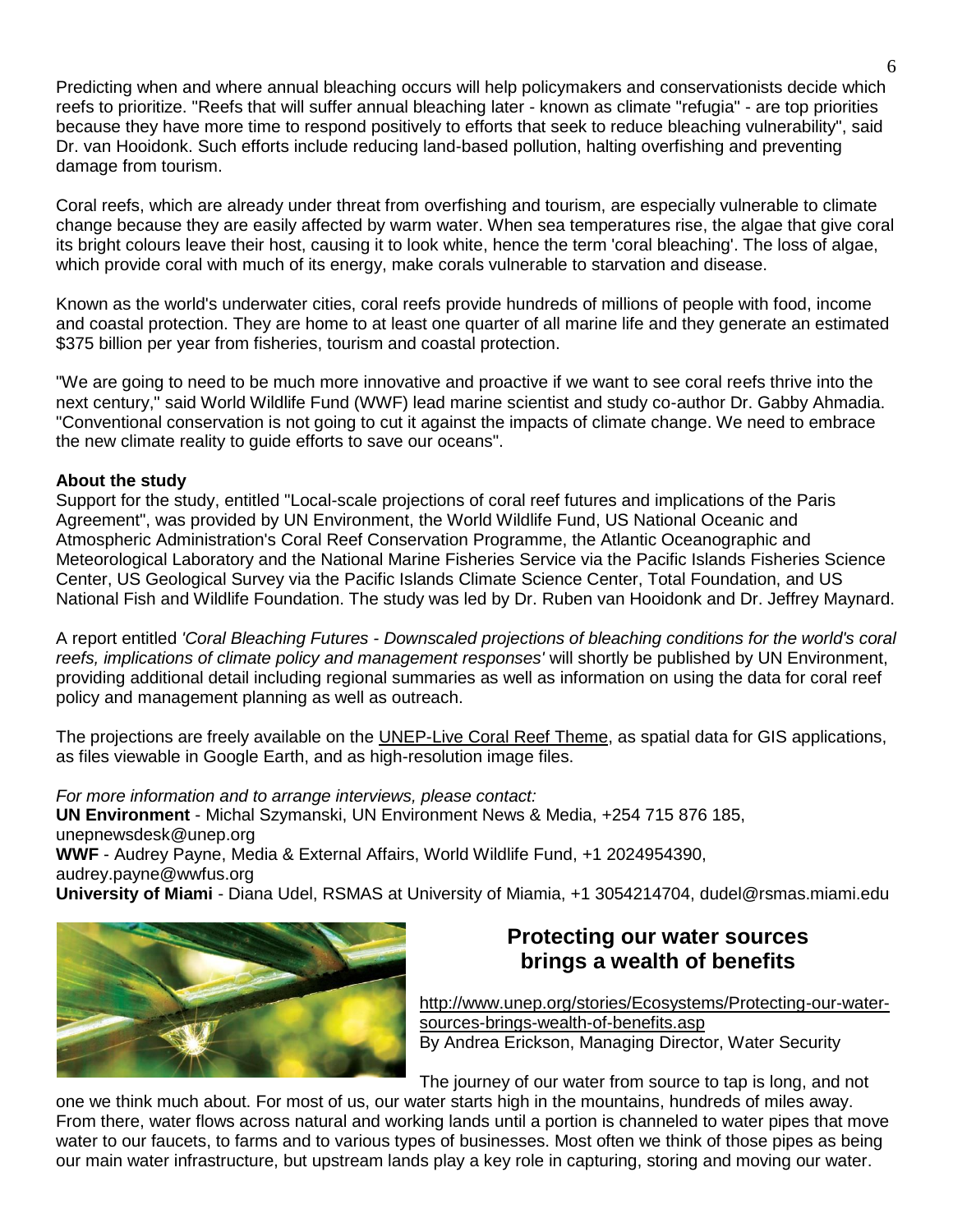Predicting when and where annual bleaching occurs will help policymakers and conservationists decide which reefs to prioritize. "Reefs that will suffer annual bleaching later - known as climate "refugia" - are top priorities because they have more time to respond positively to efforts that seek to reduce bleaching vulnerability", said Dr. van Hooidonk. Such efforts include reducing land-based pollution, halting overfishing and preventing damage from tourism.

Coral reefs, which are already under threat from overfishing and tourism, are especially vulnerable to climate change because they are easily affected by warm water. When sea temperatures rise, the algae that give coral its bright colours leave their host, causing it to look white, hence the term 'coral bleaching'. The loss of algae, which provide coral with much of its energy, make corals vulnerable to starvation and disease.

Known as the world's underwater cities, coral reefs provide hundreds of millions of people with food, income and coastal protection. They are home to at least one quarter of all marine life and they generate an estimated \$375 billion per year from fisheries, tourism and coastal protection.

"We are going to need to be much more innovative and proactive if we want to see coral reefs thrive into the next century," said World Wildlife Fund (WWF) lead marine scientist and study co-author Dr. Gabby Ahmadia. "Conventional conservation is not going to cut it against the impacts of climate change. We need to embrace the new climate reality to guide efforts to save our oceans".

#### **About the study**

Support for the study, entitled "Local-scale projections of coral reef futures and implications of the Paris Agreement", was provided by UN Environment, the World Wildlife Fund, US National Oceanic and Atmospheric Administration's Coral Reef Conservation Programme, the Atlantic Oceanographic and Meteorological Laboratory and the National Marine Fisheries Service via the Pacific Islands Fisheries Science Center, US Geological Survey via the Pacific Islands Climate Science Center, Total Foundation, and US National Fish and Wildlife Foundation. The study was led by Dr. Ruben van Hooidonk and Dr. Jeffrey Maynard.

A report entitled *'Coral Bleaching Futures - Downscaled projections of bleaching conditions for the world's coral reefs, implications of climate policy and management responses'* will shortly be published by UN Environment, providing additional detail including regional summaries as well as information on using the data for coral reef policy and management planning as well as outreach.

The projections are freely available on the [UNEP-Live Coral Reef Theme,](http://uneplive.unep.org/theme/index/19) as spatial data for GIS applications, as files viewable in Google Earth, and as high-resolution image files.

*For more information and to arrange interviews, please contact:* **UN Environment** - Michal Szymanski, UN Environment News & Media, +254 715 876 185, unepnewsdesk@unep.org **WWF** - Audrey Payne, Media & External Affairs, World Wildlife Fund, +1 2024954390, audrey.payne@wwfus.org **University of Miami** - Diana Udel, RSMAS at University of Miamia, +1 3054214704, dudel@rsmas.miami.edu



# **Protecting our water sources brings a wealth of benefits**

[http://www.unep.org/stories/Ecosystems/Protecting-our-water](http://www.unep.org/stories/Ecosystems/Protecting-our-water-sources-brings-wealth-of-benefits.asp)[sources-brings-wealth-of-benefits.asp](http://www.unep.org/stories/Ecosystems/Protecting-our-water-sources-brings-wealth-of-benefits.asp) By Andrea Erickson, Managing Director, Water Security

The journey of our water from source to tap is long, and not

one we think much about. For most of us, our water starts high in the mountains, hundreds of miles away. From there, water flows across natural and working lands until a portion is channeled to water pipes that move water to our faucets, to farms and to various types of businesses. Most often we think of those pipes as being our main water infrastructure, but upstream lands play a key role in capturing, storing and moving our water.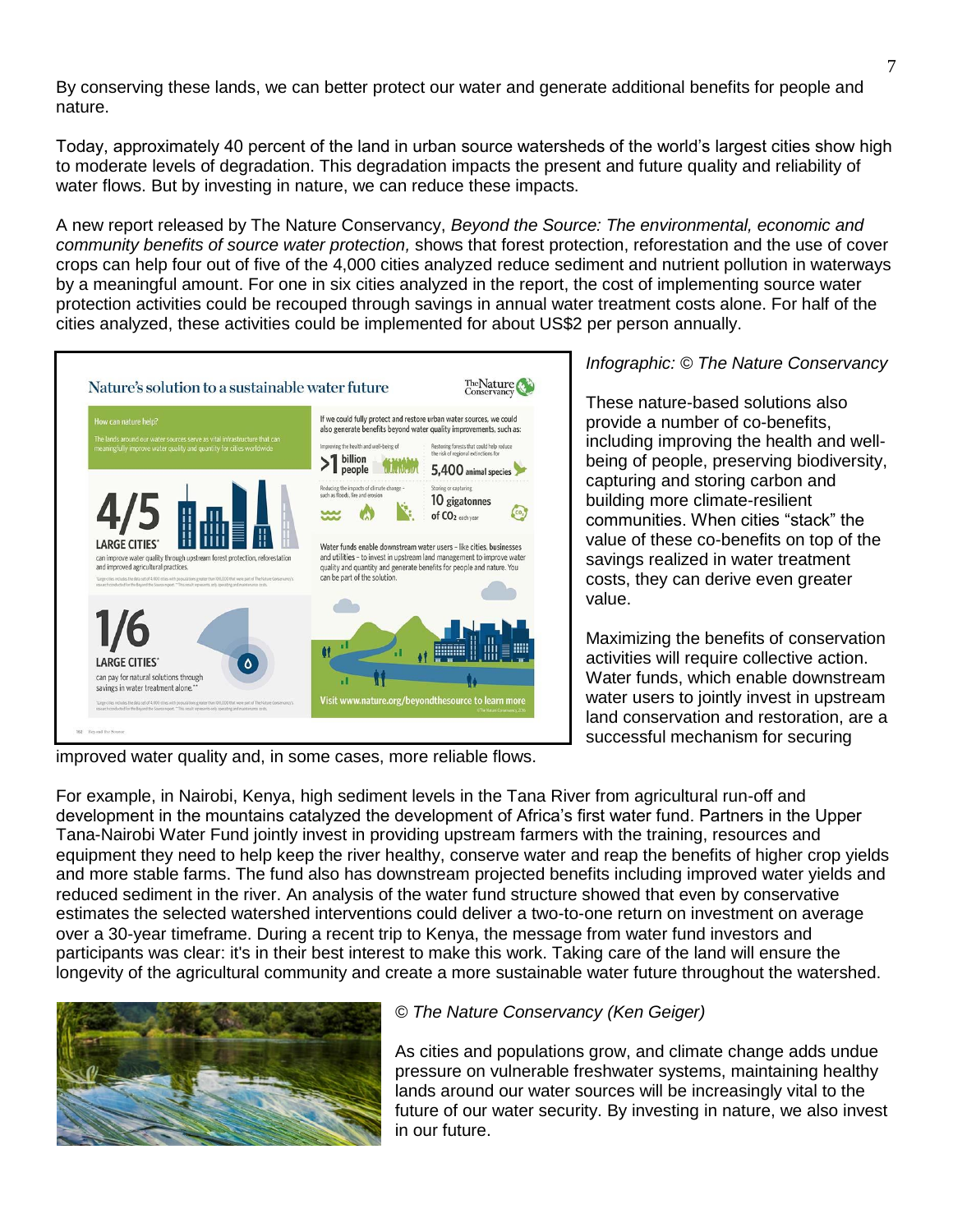By conserving these lands, we can better protect our water and generate additional benefits for people and nature.

Today, approximately 40 percent of the land in urban source watersheds of the world's largest cities show high to moderate levels of degradation. This degradation impacts the present and future quality and reliability of water flows. But by investing in nature, we can reduce these impacts.

A new report released by The Nature Conservancy, *[Beyond the Source: The environmental, economic and](https://global.nature.org/content/beyond-the-source?src=r.global.beyondthesource)  [community benefits of source water protection,](https://global.nature.org/content/beyond-the-source?src=r.global.beyondthesource)* shows that forest protection, reforestation and the use of cover crops can help four out of five of the 4,000 cities analyzed reduce sediment and nutrient pollution in waterways by a meaningful amount. For one in six cities analyzed in the report, the cost of implementing source water protection activities could be recouped through savings in annual water treatment costs alone. For half of the cities analyzed, these activities could be implemented for about US\$2 per person annually.



*Infographic: © The Nature Conservancy*

These nature-based solutions also provide a number of co-benefits, including improving the health and wellbeing of people, preserving biodiversity, capturing and storing carbon and building more climate-resilient communities. When cities "stack" the value of these co-benefits on top of the savings realized in water treatment costs, they can derive even greater value.

Maximizing the benefits of conservation activities will require collective action. Water funds, which enable downstream water users to jointly invest in upstream land conservation and restoration, are a successful mechanism for securing

improved water quality and, in some cases, more reliable flows.

For example, in Nairobi, Kenya, high sediment levels in the Tana River from agricultural run-off and development in the mountains catalyzed the development of Africa's first water fund. Partners in the Upper Tana-Nairobi Water Fund jointly invest in providing upstream farmers with the training, resources and equipment they need to help keep the river healthy, conserve water and reap the benefits of higher crop yields and more stable farms. The fund also has downstream projected benefits including improved water yields and reduced sediment in the river. An analysis of the water fund structure showed that even by conservative estimates the selected watershed interventions could deliver a two-to-one return on investment on average over a 30-year timeframe. During a recent trip to Kenya, the message from water fund investors and participants was clear: it's in their best interest to make this work. Taking care of the land will ensure the longevity of the agricultural community and create a more sustainable water future throughout the watershed.



#### *© The Nature Conservancy (Ken Geiger)*

As cities and populations grow, and climate change adds undue pressure on vulnerable freshwater systems, maintaining healthy lands around our water sources will be increasingly vital to the future of our water security. By investing in nature, we also invest in our future.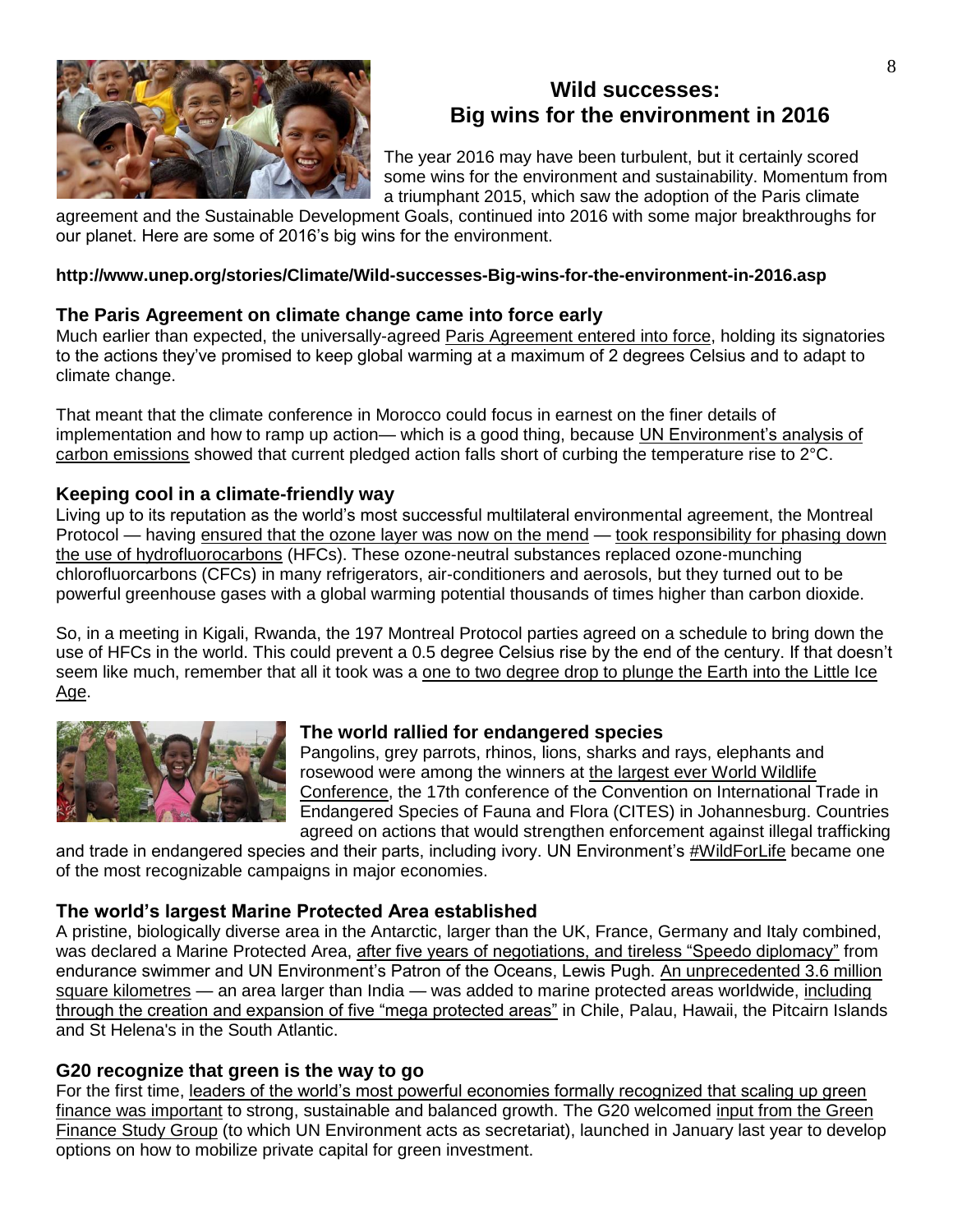

# **Wild successes: Big wins for the environment in 2016**

The year 2016 may have been turbulent, but it certainly scored some wins for the environment and sustainability. Momentum from a triumphant 2015, which saw the adoption of the Paris climate

agreement and the Sustainable Development Goals, continued into 2016 with some major breakthroughs for our planet. Here are some of 2016's big wins for the environment.

#### **http://www.unep.org/stories/Climate/Wild-successes-Big-wins-for-the-environment-in-2016.asp**

## **The Paris Agreement on climate change came into force early**

Much earlier than expected, the universally-agreed [Paris Agreement entered into force,](http://newsroom.unfccc.int/paris-agreement/paris-agreement-enters-into-force-celebration-and-reality-check/) holding its signatories to the actions they've promised to keep global warming at a maximum of 2 degrees Celsius and to adapt to climate change.

That meant that the climate conference in Morocco could focus in earnest on the finer details of implementation and how to ramp up action— which is a good thing, because UN Environment's analysis of [carbon emissions](http://web.unep.org/emissionsgap/) showed that current pledged action falls short of curbing the temperature rise to 2°C.

## **Keeping cool in a climate-friendly way**

Living up to its reputation as the world's most successful multilateral environmental agreement, the Montreal Protocol — having [ensured that the ozone layer was now on the mend](http://www.nature.com/news/antarctic-ozone-hole-is-on-the-mend-1.20183) — [took responsibility for phasing down](http://unep.org/newscentre/Default.aspx?DocumentID=27086&ArticleID=36283&l=en)  [the use of hydrofluorocarbons](http://unep.org/newscentre/Default.aspx?DocumentID=27086&ArticleID=36283&l=en) (HFCs). These ozone-neutral substances replaced ozone-munching chlorofluorcarbons (CFCs) in many refrigerators, air-conditioners and aerosols, but they turned out to be powerful greenhouse gases with a global warming potential thousands of times higher than carbon dioxide.

So, in a meeting in Kigali, Rwanda, the 197 Montreal Protocol parties agreed on a schedule to bring down the use of HFCs in the world. This could prevent a 0.5 degree Celsius rise by the end of the century. If that doesn't seem like much, remember that all it took was a [one to two degree drop to plunge the Earth into the Little Ice](http://earthobservatory.nasa.gov/Features/WorldOfChange/decadaltemp.php)  [Age.](http://earthobservatory.nasa.gov/Features/WorldOfChange/decadaltemp.php)



## **The world rallied for endangered species**

Pangolins, grey parrots, rhinos, lions, sharks and rays, elephants and rosewood were among the winners at [the largest ever World Wildlife](https://cites.org/eng/news/pr/Largest_ever_World_Wildlife_Conference_CoP17_hailed_as_a_game_changer_04102016)  [Conference,](https://cites.org/eng/news/pr/Largest_ever_World_Wildlife_Conference_CoP17_hailed_as_a_game_changer_04102016) the 17th conference of the Convention on International Trade in Endangered Species of Fauna and Flora (CITES) in Johannesburg. Countries agreed on actions that would strengthen enforcement against illegal trafficking

and trade in endangered species and their parts, including ivory. UN Environment's [#WildForLife](https://wildfor.life/) became one of the most recognizable campaigns in major economies.

## **The world's largest Marine Protected Area established**

A pristine, biologically diverse area in the Antarctic, larger than the UK, France, Germany and Italy combined, was declared a Marine Protected Area, [after five years of negotiations, and tireless "Speedo diplomacy"](http://www.unep.org/newscentre/Default.aspx?DocumentID=27086&ArticleID=36290&l=en) from endurance swimmer and UN Environment's Patron of the Oceans, Lewis Pugh. [An unprecedented 3.6 million](http://www.unep.org/newscentre/default.aspx?DocumentID=27090&ArticleID=36328)  [square kilometres](http://www.unep.org/newscentre/default.aspx?DocumentID=27090&ArticleID=36328) — an area larger than India — was added to marine protected areas worldwide, [including](https://www.unep-wcmc.org/resources-and-data/protected-planet-report-2016)  [through the creation and expansion of five "mega protected areas"](https://www.unep-wcmc.org/resources-and-data/protected-planet-report-2016) in Chile, Palau, Hawaii, the Pitcairn Islands and St Helena's in the South Atlantic.

## **G20 recognize that green is the way to go**

For the first time, [leaders of the world's most powerful economies formally recognized that scaling up green](http://www.unep.org/newscentre/Default.aspx?DocumentID=27084&ArticleID=36257&l=en)  [finance was important](http://www.unep.org/newscentre/Default.aspx?DocumentID=27084&ArticleID=36257&l=en) to strong, sustainable and balanced growth. The G20 welcomed [input from the Green](http://unepinquiry.org/g20greenfinancerepositoryeng/)  [Finance Study Group](http://unepinquiry.org/g20greenfinancerepositoryeng/) (to which UN Environment acts as secretariat), launched in January last year to develop options on how to mobilize private capital for green investment.